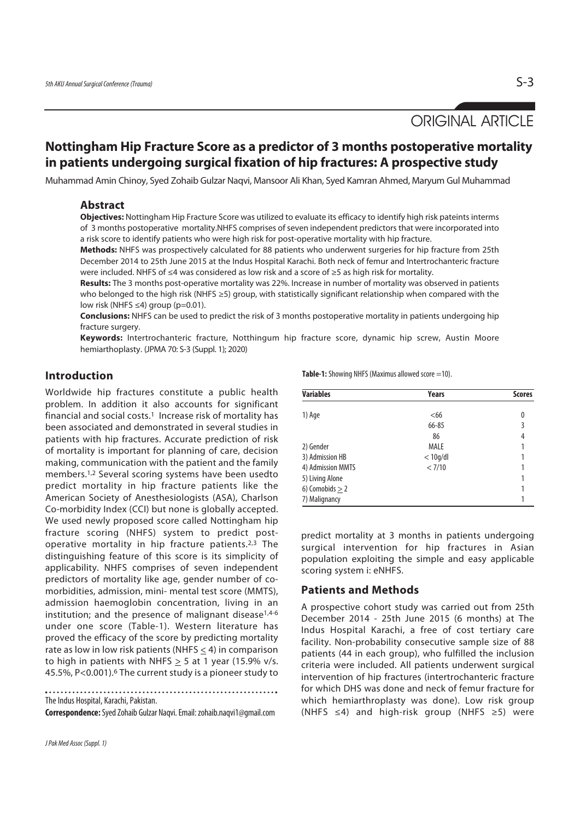# ORIGINAL ARTICLE

# **Nottingham Hip Fracture Score as a predictor of 3 months postoperative mortality in patients undergoing surgical fixation of hip fractures: A prospective study**

Muhammad Amin Chinoy, Syed Zohaib Gulzar Naqvi, Mansoor Ali Khan, Syed Kamran Ahmed, Maryum Gul Muhammad

#### **Abstract**

**Objectives:** Nottingham Hip Fracture Score was utilized to evaluate its efficacy to identify high risk pateints interms of 3 months postoperative mortality.NHFS comprises of seven independent predictors that were incorporated into a risk score to identify patients who were high risk for post-operative mortality with hip fracture.

**Methods:** NHFS was prospectively calculated for 88 patients who underwent surgeries for hip fracture from 25th December 2014 to 25th June 2015 at the Indus Hospital Karachi. Both neck of femur and Intertrochanteric fracture were included. NHFS of ≤4 was considered as low risk and a score of ≥5 as high risk for mortality.

**Results:** The 3 months post-operative mortality was 22%. Increase in number of mortality was observed in patients who belonged to the high risk (NHFS ≥5) group, with statistically significant relationship when compared with the low risk (NHFS  $\leq 4$ ) group (p=0.01).

**Conclusions:** NHFS can be used to predict the risk of 3 months postoperative mortality in patients undergoing hip fracture surgery.

**Keywords:** Intertrochanteric fracture, Notthingum hip fracture score, dynamic hip screw, Austin Moore hemiarthoplasty. (JPMA 70: S-3 (Suppl. 1); 2020)

### **Introduction**

Worldwide hip fractures constitute a public health problem. In addition it also accounts for significant financial and social costs.1 Increase risk of mortality has been associated and demonstrated in several studies in patients with hip fractures. Accurate prediction of risk of mortality is important for planning of care, decision making, communication with the patient and the family members.1,2 Several scoring systems have been usedto predict mortality in hip fracture patients like the American Society of Anesthesiologists (ASA), Charlson Co-morbidity Index (CCI) but none is globally accepted. We used newly proposed score called Nottingham hip fracture scoring (NHFS) system to predict postoperative mortality in hip fracture patients.2,3 The distinguishing feature of this score is its simplicity of applicability. NHFS comprises of seven independent predictors of mortality like age, gender number of comorbidities, admission, mini- mental test score (MMTS), admission haemoglobin concentration, living in an institution; and the presence of malignant disease<sup>1,4-6</sup> under one score (Table-1). Western literature has proved the efficacy of the score by predicting mortality rate as low in low risk patients (NHFS  $\leq$  4) in comparison to high in patients with NHFS  $>$  5 at 1 year (15.9% v/s. 45.5%, P<0.001).6 The current study is a pioneer study to

The Indus Hospital, Karachi, Pakistan.

**Correspondence:** Syed Zohaib Gulzar Naqvi. Email: zohaib.naqvi1@gmail.com

Table-1: Showing NHFS (Maximus allowed score =10).

| <b>Variables</b>  | Years       | <b>Scores</b> |
|-------------------|-------------|---------------|
|                   |             |               |
| 1) Age            | <66         |               |
|                   | 66-85       |               |
|                   | 86          | 4             |
| 2) Gender         | <b>MALE</b> |               |
| 3) Admission HB   | $<$ 10g/dl  |               |
| 4) Admission MMTS | < 7/10      |               |
| 5) Living Alone   |             |               |
| 6) Comobids $> 2$ |             |               |
| 7) Malignancy     |             |               |

predict mortality at 3 months in patients undergoing surgical intervention for hip fractures in Asian population exploiting the simple and easy applicable scoring system i: eNHFS.

#### **Patients and Methods**

A prospective cohort study was carried out from 25th December 2014 - 25th June 2015 (6 months) at The Indus Hospital Karachi, a free of cost tertiary care facility. Non-probability consecutive sample size of 88 patients (44 in each group), who fulfilled the inclusion criteria were included. All patients underwent surgical intervention of hip fractures (intertrochanteric fracture for which DHS was done and neck of femur fracture for which hemiarthroplasty was done). Low risk group (NHFS ≤4) and high-risk group (NHFS ≥5) were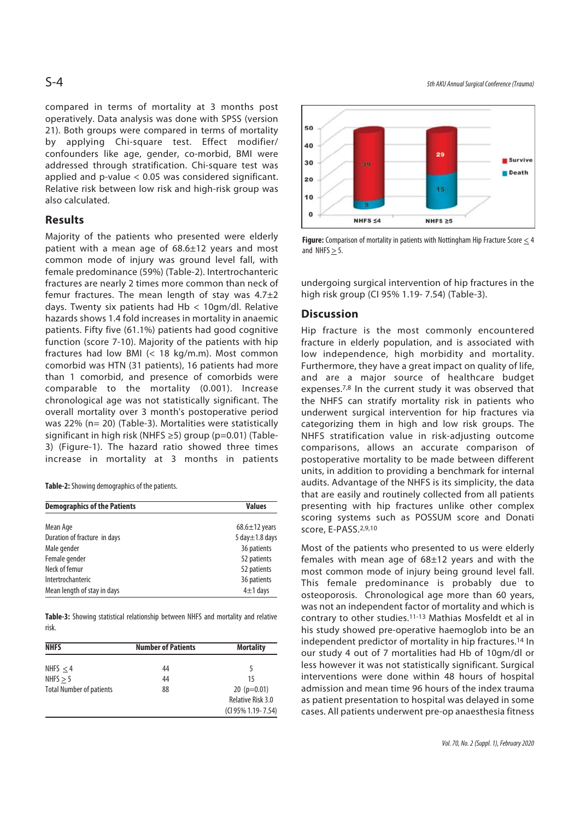compared in terms of mortality at 3 months post operatively. Data analysis was done with SPSS (version 21). Both groups were compared in terms of mortality by applying Chi-square test. Effect modifier/ confounders like age, gender, co-morbid, BMI were addressed through stratification. Chi-square test was applied and p-value < 0.05 was considered significant. Relative risk between low risk and high-risk group was also calculated.

## **Results**

Majority of the patients who presented were elderly patient with a mean age of 68.6±12 years and most common mode of injury was ground level fall, with female predominance (59%) (Table-2). Intertrochanteric fractures are nearly 2 times more common than neck of femur fractures. The mean length of stay was  $4.7\pm2$ days. Twenty six patients had Hb < 10gm/dl. Relative hazards shows 1.4 fold increases in mortality in anaemic patients. Fifty five (61.1%) patients had good cognitive function (score 7-10). Majority of the patients with hip fractures had low BMI (< 18 kg/m.m). Most common comorbid was HTN (31 patients), 16 patients had more than 1 comorbid, and presence of comorbids were comparable to the mortality (0.001). Increase chronological age was not statistically significant. The overall mortality over 3 month's postoperative period was 22% (n= 20) (Table-3). Mortalities were statistically significant in high risk (NHFS ≥5) group (p=0.01) (Table-3) (Figure-1). The hazard ratio showed three times increase in mortality at 3 months in patients

**Table-2:** Showing demographics of the patients.

| <b>Demographics of the Patients</b> | <b>Values</b>        |  |
|-------------------------------------|----------------------|--|
| Mean Age                            | $68.6 \pm 12$ years  |  |
| Duration of fracture in days        | 5 day $\pm$ 1.8 days |  |
| Male gender                         | 36 patients          |  |
| Female gender                       | 52 patients          |  |
| Neck of femur                       | 52 patients          |  |
| Intertrochanteric                   | 36 patients          |  |
| Mean length of stay in days         | $4\pm1$ days         |  |

**Table-3:** Showing statistical relationship between NHFS and mortality and relative risk.

| <b>NHFS</b>                     | <b>Number of Patients</b> | <b>Mortality</b>     |
|---------------------------------|---------------------------|----------------------|
| NHFS $<$ 4                      | 44                        |                      |
| NHFS $> 5$                      | 44                        | 15                   |
| <b>Total Number of patients</b> | 88                        | 20 ( $p=0.01$ )      |
|                                 |                           | Relative Risk 3.0    |
|                                 |                           | (CI 95% 1.19 - 7.54) |

S-4 5th AKU Annual Surgical Conference (Trauma)



Figure: Comparison of mortality in patients with Nottingham Hip Fracture Score  $\leq$  4 and NHFS  $\geq$  5.

undergoing surgical intervention of hip fractures in the high risk group (CI 95% 1.19- 7.54) (Table-3).

#### **Discussion**

Hip fracture is the most commonly encountered fracture in elderly population, and is associated with low independence, high morbidity and mortality. Furthermore, they have a great impact on quality of life, and are a major source of healthcare budget expenses.<sup>7,8</sup> In the current study it was observed that the NHFS can stratify mortality risk in patients who underwent surgical intervention for hip fractures via categorizing them in high and low risk groups. The NHFS stratification value in risk-adjusting outcome comparisons, allows an accurate comparison of postoperative mortality to be made between different units, in addition to providing a benchmark for internal audits. Advantage of the NHFS is its simplicity, the data that are easily and routinely collected from all patients presenting with hip fractures unlike other complex scoring systems such as POSSUM score and Donati score, E-PASS.2,9,10

Most of the patients who presented to us were elderly females with mean age of 68±12 years and with the most common mode of injury being ground level fall. This female predominance is probably due to osteoporosis. Chronological age more than 60 years, was not an independent factor of mortality and which is contrary to other studies.11-13 Mathias Mosfeldt et al in his study showed pre-operative haemoglob into be an independent predictor of mortality in hip fractures.14 In our study 4 out of 7 mortalities had Hb of 10gm/dl or less however it was not statistically significant. Surgical interventions were done within 48 hours of hospital admission and mean time 96 hours of the index trauma as patient presentation to hospital was delayed in some cases. All patients underwent pre-op anaesthesia fitness